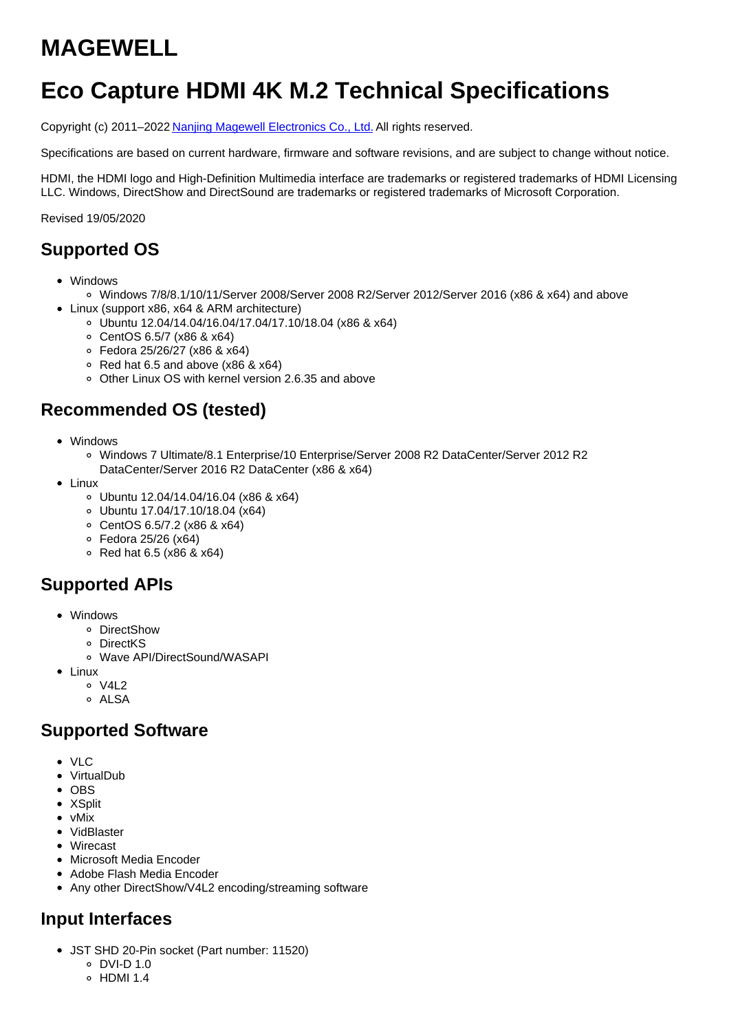# **MAGEWELL**

# **Eco Capture HDMI 4K M.2 Technical Specifications**

Copyright (c) 2011–2022 Nanjing Magewell [Electronics](http://www.magewell.com) Co., Ltd. All rights reserved.

Specifications are based on current hardware, firmware and software revisions, and are subject to change without notice.

HDMI, the HDMI logo and High-Definition Multimedia interface are trademarks or registered trademarks of HDMI Licensing LLC. Windows, DirectShow and DirectSound are trademarks or registered trademarks of Microsoft Corporation.

Revised 19/05/2020

### **Supported OS**

- Windows
	- Windows 7/8/8.1/10/11/Server 2008/Server 2008 R2/Server 2012/Server 2016 (x86 & x64) and above
- Linux (support x86, x64 & ARM architecture)
	- Ubuntu 12.04/14.04/16.04/17.04/17.10/18.04 (x86 & x64)
	- CentOS 6.5/7 (x86 & x64)
	- Fedora 25/26/27 (x86 & x64)
	- $\circ$  Red hat 6.5 and above (x86 & x64)
	- Other Linux OS with kernel version 2.6.35 and above

### **Recommended OS (tested)**

- Windows
	- Windows 7 Ultimate/8.1 Enterprise/10 Enterprise/Server 2008 R2 DataCenter/Server 2012 R2 DataCenter/Server 2016 R2 DataCenter (x86 & x64)
- Linux
	- Ubuntu 12.04/14.04/16.04 (x86 & x64)
	- Ubuntu 17.04/17.10/18.04 (x64)
	- CentOS 6.5/7.2 (x86 & x64)
	- Fedora 25/26 (x64)
	- $\circ$  Red hat 6.5 (x86 & x64)

### **Supported APIs**

- Windows
	- DirectShow
	- DirectKS
	- Wave API/DirectSound/WASAPI
- Linux
	- $0 \sqrt{412}$
	- o ALSA

#### **Supported Software**

- $\bullet$  VIC
- VirtualDub
- $\bullet$  OBS
- XSplit
- vMix
- VidBlaster
- Wirecast
- Microsoft Media Encoder
- Adobe Flash Media Encoder
- Any other DirectShow/V4L2 encoding/streaming software

# **Input Interfaces**

- JST SHD 20-Pin socket (Part number: 11520)
	- $O$  DVI-D 1.0
	- $\circ$  HDMI 1.4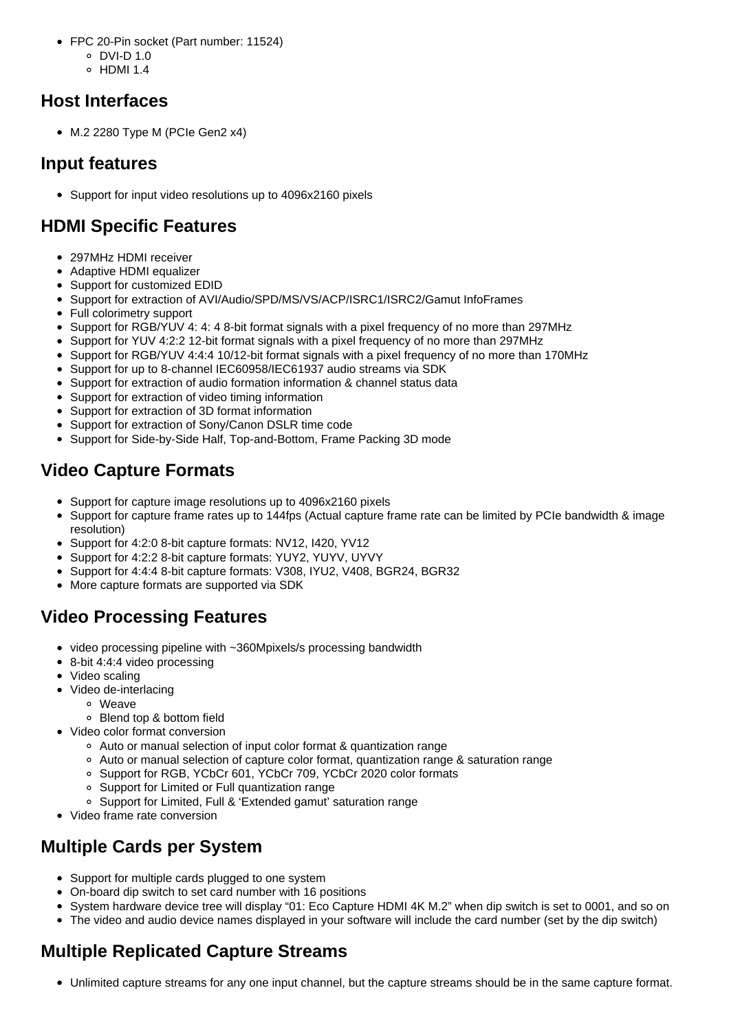- FPC 20-Pin socket (Part number: 11524)
	- DVI-D 1.0
	- $\circ$  HDMI 1.4

### **Host Interfaces**

 $\bullet$  M.2 2280 Type M (PCIe Gen2 x4)

### **Input features**

Support for input video resolutions up to 4096x2160 pixels

## **HDMI Specific Features**

- 297MHz HDMI receiver
- Adaptive HDMI equalizer
- Support for customized EDID
- Support for extraction of AVI/Audio/SPD/MS/VS/ACP/ISRC1/ISRC2/Gamut InfoFrames
- Full colorimetry support
- Support for RGB/YUV 4: 4: 4 8-bit format signals with a pixel frequency of no more than 297MHz
- Support for YUV 4:2:2 12-bit format signals with a pixel frequency of no more than 297MHz
- Support for RGB/YUV 4:4:4 10/12-bit format signals with a pixel frequency of no more than 170MHz
- Support for up to 8-channel IEC60958/IEC61937 audio streams via SDK
- Support for extraction of audio formation information & channel status data
- Support for extraction of video timing information
- Support for extraction of 3D format information
- Support for extraction of Sony/Canon DSLR time code
- Support for Side-by-Side Half, Top-and-Bottom, Frame Packing 3D mode

## **Video Capture Formats**

- Support for capture image resolutions up to 4096x2160 pixels
- Support for capture frame rates up to 144fps (Actual capture frame rate can be limited by PCIe bandwidth & image resolution)
- Support for 4:2:0 8-bit capture formats: NV12, I420, YV12
- Support for 4:2:2 8-bit capture formats: YUY2, YUYV, UYVY
- Support for 4:4:4 8-bit capture formats: V308, IYU2, V408, BGR24, BGR32
- More capture formats are supported via SDK

## **Video Processing Features**

- video processing pipeline with ~360Mpixels/s processing bandwidth
- 8-bit 4:4:4 video processing
- Video scaling
- Video de-interlacing
	- Weave
	- Blend top & bottom field
- Video color format conversion
	- Auto or manual selection of input color format & quantization range
	- Auto or manual selection of capture color format, quantization range & saturation range
	- o Support for RGB, YCbCr 601, YCbCr 709, YCbCr 2020 color formats
	- Support for Limited or Full quantization range
	- Support for Limited, Full & 'Extended gamut' saturation range
- Video frame rate conversion

### **Multiple Cards per System**

- Support for multiple cards plugged to one system
- On-board dip switch to set card number with 16 positions
- System hardware device tree will display "01: Eco Capture HDMI 4K M.2" when dip switch is set to 0001, and so on
- The video and audio device names displayed in your software will include the card number (set by the dip switch)

# **Multiple Replicated Capture Streams**

Unlimited capture streams for any one input channel, but the capture streams should be in the same capture format.